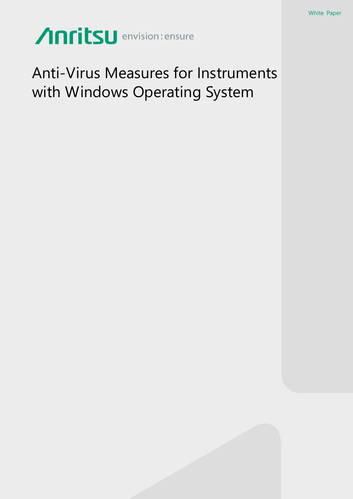# Anritsu envision: ensure

### Anti-Virus Measures for Instruments with Windows Operating System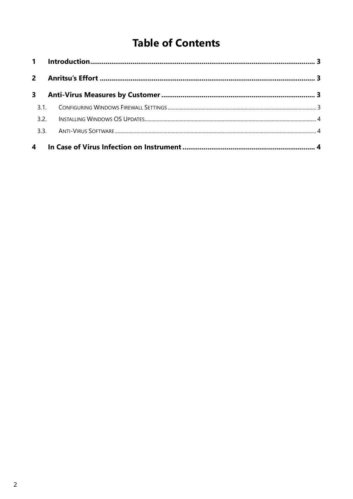### **Table of Contents**

| $2^{\circ}$    |  |  |
|----------------|--|--|
| 3 <sup>7</sup> |  |  |
|                |  |  |
| 3.2.           |  |  |
|                |  |  |
|                |  |  |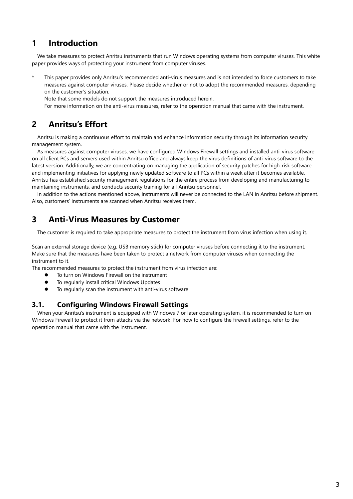#### <span id="page-2-0"></span>**1 Introduction**

We take measures to protect Anritsu instruments that run Windows operating systems from computer viruses. This white paper provides ways of protecting your instrument from computer viruses.

This paper provides only Anritsu's recommended anti-virus measures and is not intended to force customers to take measures against computer viruses. Please decide whether or not to adopt the recommended measures, depending on the customer's situation.

Note that some models do not support the measures introduced herein.

For more information on the anti-virus measures, refer to the operation manual that came with the instrument.

#### <span id="page-2-1"></span>**2 Anritsu's Effort**

Anritsu is making a continuous effort to maintain and enhance information security through its information security management system.

As measures against computer viruses, we have configured Windows Firewall settings and installed anti-virus software on all client PCs and servers used within Anritsu office and always keep the virus definitions of anti-virus software to the latest version. Additionally, we are concentrating on managing the application of security patches for high-risk software and implementing initiatives for applying newly updated software to all PCs within a week after it becomes available. Anritsu has established security management regulations for the entire process from developing and manufacturing to maintaining instruments, and conducts security training for all Anritsu personnel.

In addition to the actions mentioned above, instruments will never be connected to the LAN in Anritsu before shipment. Also, customers' instruments are scanned when Anritsu receives them.

#### <span id="page-2-2"></span>**3 Anti-Virus Measures by Customer**

The customer is required to take appropriate measures to protect the instrument from virus infection when using it.

Scan an external storage device (e.g. USB memory stick) for computer viruses before connecting it to the instrument. Make sure that the measures have been taken to protect a network from computer viruses when connecting the instrument to it.

The recommended measures to protect the instrument from virus infection are:

- To turn on Windows Firewall on the instrument
- $\bullet$  To regularly install critical Windows Updates
- To regularly scan the instrument with anti-virus software

#### <span id="page-2-3"></span>**3.1. Configuring Windows Firewall Settings**

When your Anritsu's instrument is equipped with Windows 7 or later operating system, it is recommended to turn on Windows Firewall to protect it from attacks via the network. For how to configure the firewall settings, refer to the operation manual that came with the instrument.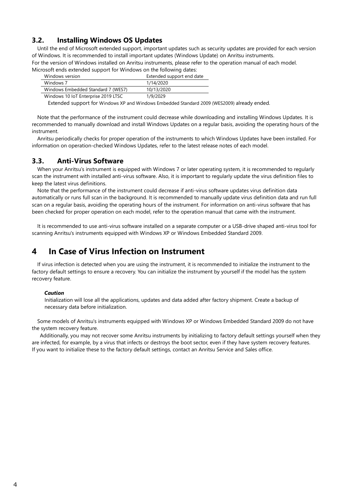#### <span id="page-3-0"></span>**3.2. Installing Windows OS Updates**

Until the end of Microsoft extended support, important updates such as security updates are provided for each version of Windows. It is recommended to install important updates (Windows Update) on Anritsu instruments. For the version of Windows installed on Anritsu instruments, please refer to the operation manual of each model. Microsoft ends extended support for Windows on the following dates:

| Windows version                     | Extended support end date |
|-------------------------------------|---------------------------|
| Windows 7                           | 1/14/2020                 |
| Windows Embedded Standard 7 (WES7)  | 10/13/2020                |
| Windows 10 IoT Enterprise 2019 LTSC | 1/9/2029                  |

Extended support for Windows XP and Windows Embedded Standard 2009 (WES2009) already ended.

Note that the performance of the instrument could decrease while downloading and installing Windows Updates. It is recommended to manually download and install Windows Updates on a regular basis, avoiding the operating hours of the instrument.

Anritsu periodically checks for proper operation of the instruments to which Windows Updates have been installed. For information on operation-checked Windows Updates, refer to the latest release notes of each model.

#### <span id="page-3-1"></span>**3.3. Anti-Virus Software**

When your Anritsu's instrument is equipped with Windows 7 or later operating system, it is recommended to regularly scan the instrument with installed anti-virus software. Also, it is important to regularly update the virus definition files to keep the latest virus definitions.

Note that the performance of the instrument could decrease if anti-virus software updates virus definition data automatically or runs full scan in the background. It is recommended to manually update virus definition data and run full scan on a regular basis, avoiding the operating hours of the instrument. For information on anti-virus software that has been checked for proper operation on each model, refer to the operation manual that came with the instrument.

It is recommended to use anti-virus software installed on a separate computer or a USB-drive shaped anti-virus tool for scanning Anritsu's instruments equipped with Windows XP or Windows Embedded Standard 2009.

#### <span id="page-3-2"></span>**4 In Case of Virus Infection on Instrument**

If virus infection is detected when you are using the instrument, it is recommended to initialize the instrument to the factory default settings to ensure a recovery. You can initialize the instrument by yourself if the model has the system recovery feature.

#### *Caution*

Initialization will lose all the applications, updates and data added after factory shipment. Create a backup of necessary data before initialization.

Some models of Anritsu's instruments equipped with Windows XP or Windows Embedded Standard 2009 do not have the system recovery feature.

Additionally, you may not recover some Anritsu instruments by initializing to factory default settings yourself when they are infected, for example, by a virus that infects or destroys the boot sector, even if they have system recovery features. If you want to initialize these to the factory default settings, contact an Anritsu Service and Sales office.